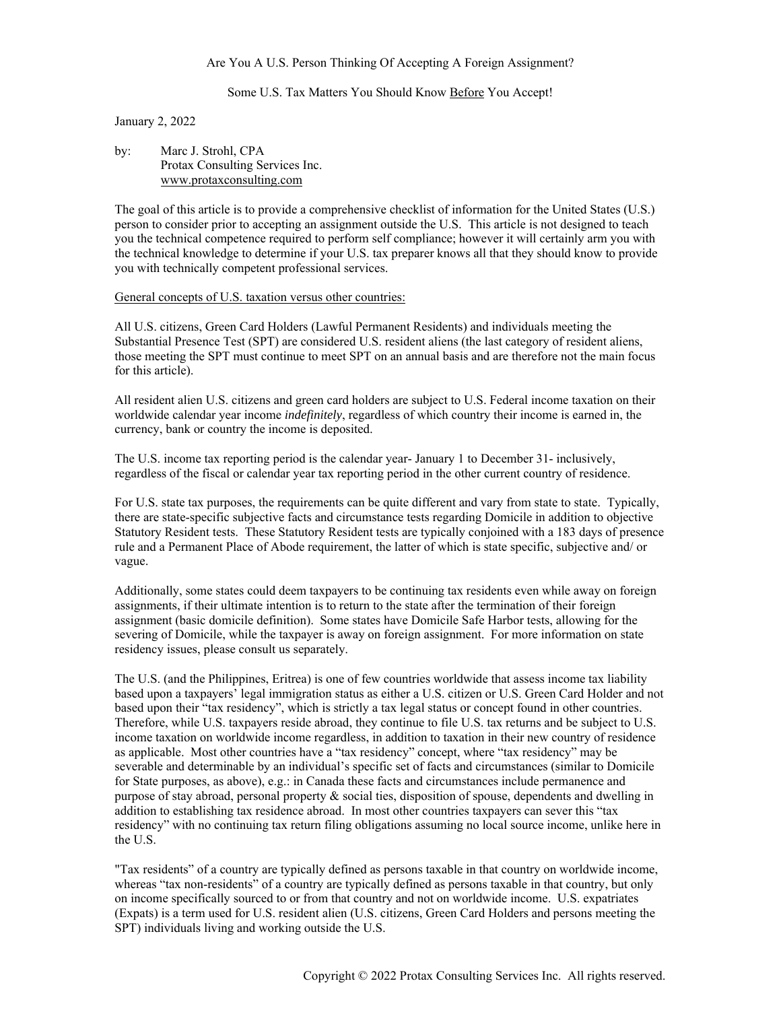#### Are You A U.S. Person Thinking Of Accepting A Foreign Assignment?

## Some U.S. Tax Matters You Should Know Before You Accept!

#### January 2, 2022

| by: | Marc J. Strohl, CPA             |
|-----|---------------------------------|
|     | Protax Consulting Services Inc. |
|     | www.protaxconsulting.com        |

The goal of this article is to provide a comprehensive checklist of information for the United States (U.S.) person to consider prior to accepting an assignment outside the U.S. This article is not designed to teach you the technical competence required to perform self compliance; however it will certainly arm you with the technical knowledge to determine if your U.S. tax preparer knows all that they should know to provide you with technically competent professional services.

# General concepts of U.S. taxation versus other countries:

All U.S. citizens, Green Card Holders (Lawful Permanent Residents) and individuals meeting the Substantial Presence Test (SPT) are considered U.S. resident aliens (the last category of resident aliens, those meeting the SPT must continue to meet SPT on an annual basis and are therefore not the main focus for this article).

All resident alien U.S. citizens and green card holders are subject to U.S. Federal income taxation on their worldwide calendar year income *indefinitely*, regardless of which country their income is earned in, the currency, bank or country the income is deposited.

The U.S. income tax reporting period is the calendar year- January 1 to December 31- inclusively, regardless of the fiscal or calendar year tax reporting period in the other current country of residence.

For U.S. state tax purposes, the requirements can be quite different and vary from state to state. Typically, there are state-specific subjective facts and circumstance tests regarding Domicile in addition to objective Statutory Resident tests. These Statutory Resident tests are typically conjoined with a 183 days of presence rule and a Permanent Place of Abode requirement, the latter of which is state specific, subjective and/ or vague.

Additionally, some states could deem taxpayers to be continuing tax residents even while away on foreign assignments, if their ultimate intention is to return to the state after the termination of their foreign assignment (basic domicile definition). Some states have Domicile Safe Harbor tests, allowing for the severing of Domicile, while the taxpayer is away on foreign assignment. For more information on state residency issues, please consult us separately.

The U.S. (and the Philippines, Eritrea) is one of few countries worldwide that assess income tax liability based upon a taxpayers' legal immigration status as either a U.S. citizen or U.S. Green Card Holder and not based upon their "tax residency", which is strictly a tax legal status or concept found in other countries. Therefore, while U.S. taxpayers reside abroad, they continue to file U.S. tax returns and be subject to U.S. income taxation on worldwide income regardless, in addition to taxation in their new country of residence as applicable. Most other countries have a "tax residency" concept, where "tax residency" may be severable and determinable by an individual's specific set of facts and circumstances (similar to Domicile for State purposes, as above), e.g.: in Canada these facts and circumstances include permanence and purpose of stay abroad, personal property & social ties, disposition of spouse, dependents and dwelling in addition to establishing tax residence abroad. In most other countries taxpayers can sever this "tax residency" with no continuing tax return filing obligations assuming no local source income, unlike here in the U.S.

"Tax residents" of a country are typically defined as persons taxable in that country on worldwide income, whereas "tax non-residents" of a country are typically defined as persons taxable in that country, but only on income specifically sourced to or from that country and not on worldwide income. U.S. expatriates (Expats) is a term used for U.S. resident alien (U.S. citizens, Green Card Holders and persons meeting the SPT) individuals living and working outside the U.S.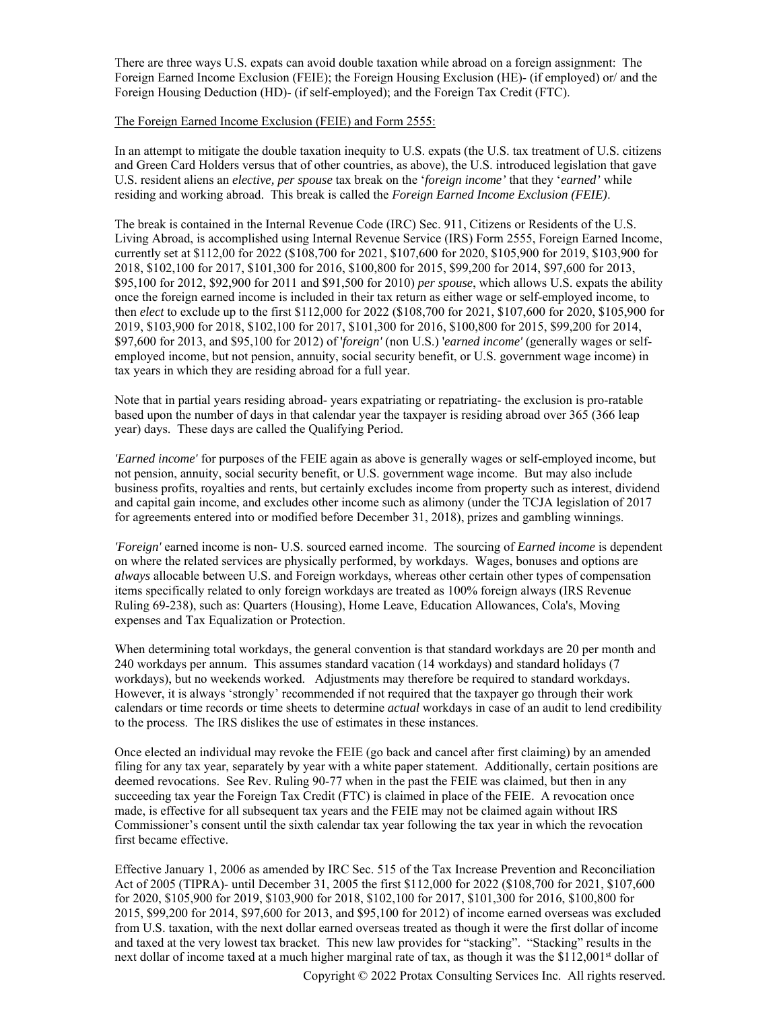There are three ways U.S. expats can avoid double taxation while abroad on a foreign assignment: The Foreign Earned Income Exclusion (FEIE); the Foreign Housing Exclusion (HE)- (if employed) or/ and the Foreign Housing Deduction (HD)- (if self-employed); and the Foreign Tax Credit (FTC).

#### The Foreign Earned Income Exclusion (FEIE) and Form 2555:

In an attempt to mitigate the double taxation inequity to U.S. expats (the U.S. tax treatment of U.S. citizens and Green Card Holders versus that of other countries, as above), the U.S. introduced legislation that gave U.S. resident aliens an *elective, per spouse* tax break on the '*foreign income'* that they '*earned'* while residing and working abroad. This break is called the *Foreign Earned Income Exclusion (FEIE)*.

The break is contained in the Internal Revenue Code (IRC) Sec. 911, Citizens or Residents of the U.S. Living Abroad, is accomplished using Internal Revenue Service (IRS) Form 2555, Foreign Earned Income, currently set at \$112,00 for 2022 (\$108,700 for 2021, \$107,600 for 2020, \$105,900 for 2019, \$103,900 for 2018, \$102,100 for 2017, \$101,300 for 2016, \$100,800 for 2015, \$99,200 for 2014, \$97,600 for 2013, \$95,100 for 2012, \$92,900 for 2011 and \$91,500 for 2010) *per spouse*, which allows U.S. expats the ability once the foreign earned income is included in their tax return as either wage or self-employed income, to then *elect* to exclude up to the first \$112,000 for 2022 (\$108,700 for 2021, \$107,600 for 2020, \$105,900 for 2019, \$103,900 for 2018, \$102,100 for 2017, \$101,300 for 2016, \$100,800 for 2015, \$99,200 for 2014, \$97,600 for 2013, and \$95,100 for 2012) of '*foreign'* (non U.S.) '*earned income'* (generally wages or selfemployed income, but not pension, annuity, social security benefit, or U.S. government wage income) in tax years in which they are residing abroad for a full year.

Note that in partial years residing abroad- years expatriating or repatriating- the exclusion is pro-ratable based upon the number of days in that calendar year the taxpayer is residing abroad over 365 (366 leap year) days. These days are called the Qualifying Period.

*'Earned income'* for purposes of the FEIE again as above is generally wages or self-employed income, but not pension, annuity, social security benefit, or U.S. government wage income. But may also include business profits, royalties and rents, but certainly excludes income from property such as interest, dividend and capital gain income, and excludes other income such as alimony (under the TCJA legislation of 2017 for agreements entered into or modified before December 31, 2018), prizes and gambling winnings.

*'Foreign'* earned income is non- U.S. sourced earned income. The sourcing of *Earned income* is dependent on where the related services are physically performed, by workdays. Wages, bonuses and options are *always* allocable between U.S. and Foreign workdays, whereas other certain other types of compensation items specifically related to only foreign workdays are treated as 100% foreign always (IRS Revenue Ruling 69-238), such as: Quarters (Housing), Home Leave, Education Allowances, Cola's, Moving expenses and Tax Equalization or Protection.

When determining total workdays, the general convention is that standard workdays are 20 per month and 240 workdays per annum. This assumes standard vacation (14 workdays) and standard holidays (7 workdays), but no weekends worked. Adjustments may therefore be required to standard workdays. However, it is always 'strongly' recommended if not required that the taxpayer go through their work calendars or time records or time sheets to determine *actual* workdays in case of an audit to lend credibility to the process. The IRS dislikes the use of estimates in these instances.

Once elected an individual may revoke the FEIE (go back and cancel after first claiming) by an amended filing for any tax year, separately by year with a white paper statement. Additionally, certain positions are deemed revocations. See Rev. Ruling 90-77 when in the past the FEIE was claimed, but then in any succeeding tax year the Foreign Tax Credit (FTC) is claimed in place of the FEIE. A revocation once made, is effective for all subsequent tax years and the FEIE may not be claimed again without IRS Commissioner's consent until the sixth calendar tax year following the tax year in which the revocation first became effective.

Effective January 1, 2006 as amended by IRC Sec. 515 of the Tax Increase Prevention and Reconciliation Act of 2005 (TIPRA)- until December 31, 2005 the first \$112,000 for 2022 (\$108,700 for 2021, \$107,600 for 2020, \$105,900 for 2019, \$103,900 for 2018, \$102,100 for 2017, \$101,300 for 2016, \$100,800 for 2015, \$99,200 for 2014, \$97,600 for 2013, and \$95,100 for 2012) of income earned overseas was excluded from U.S. taxation, with the next dollar earned overseas treated as though it were the first dollar of income and taxed at the very lowest tax bracket. This new law provides for "stacking". "Stacking" results in the next dollar of income taxed at a much higher marginal rate of tax, as though it was the \$112,001<sup>st</sup> dollar of

Copyright © 2022 Protax Consulting Services Inc. All rights reserved.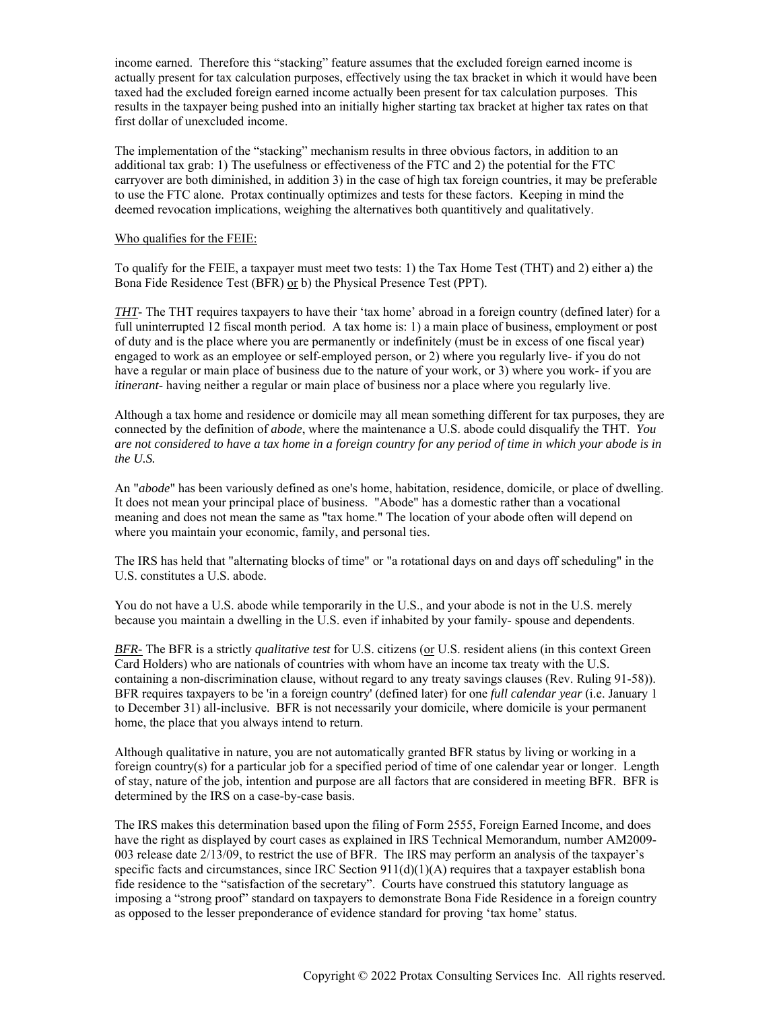income earned. Therefore this "stacking" feature assumes that the excluded foreign earned income is actually present for tax calculation purposes, effectively using the tax bracket in which it would have been taxed had the excluded foreign earned income actually been present for tax calculation purposes. This results in the taxpayer being pushed into an initially higher starting tax bracket at higher tax rates on that first dollar of unexcluded income.

The implementation of the "stacking" mechanism results in three obvious factors, in addition to an additional tax grab: 1) The usefulness or effectiveness of the FTC and 2) the potential for the FTC carryover are both diminished, in addition 3) in the case of high tax foreign countries, it may be preferable to use the FTC alone. Protax continually optimizes and tests for these factors. Keeping in mind the deemed revocation implications, weighing the alternatives both quantitively and qualitatively.

### Who qualifies for the FEIE:

To qualify for the FEIE, a taxpayer must meet two tests: 1) the Tax Home Test (THT) and 2) either a) the Bona Fide Residence Test (BFR) or b) the Physical Presence Test (PPT).

*THT*- The THT requires taxpayers to have their 'tax home' abroad in a foreign country (defined later) for a full uninterrupted 12 fiscal month period. A tax home is: 1) a main place of business, employment or post of duty and is the place where you are permanently or indefinitely (must be in excess of one fiscal year) engaged to work as an employee or self-employed person, or 2) where you regularly live- if you do not have a regular or main place of business due to the nature of your work, or 3) where you work- if you are *itinerant*- having neither a regular or main place of business nor a place where you regularly live.

Although a tax home and residence or domicile may all mean something different for tax purposes, they are connected by the definition of *abode*, where the maintenance a U.S. abode could disqualify the THT. *You are not considered to have a tax home in a foreign country for any period of time in which your abode is in the U.S.*

An "*abode*" has been variously defined as one's home, habitation, residence, domicile, or place of dwelling. It does not mean your principal place of business. "Abode" has a domestic rather than a vocational meaning and does not mean the same as "tax home." The location of your abode often will depend on where you maintain your economic, family, and personal ties.

The IRS has held that "alternating blocks of time" or "a rotational days on and days off scheduling" in the U.S. constitutes a U.S. abode.

You do not have a U.S. abode while temporarily in the U.S., and your abode is not in the U.S. merely because you maintain a dwelling in the U.S. even if inhabited by your family- spouse and dependents.

*BFR-* The BFR is a strictly *qualitative test* for U.S. citizens (or U.S. resident aliens (in this context Green Card Holders) who are nationals of countries with whom have an income tax treaty with the U.S. containing a non-discrimination clause, without regard to any treaty savings clauses (Rev. Ruling 91-58)). BFR requires taxpayers to be 'in a foreign country' (defined later) for one *full calendar year* (i.e. January 1 to December 31) all-inclusive. BFR is not necessarily your domicile, where domicile is your permanent home, the place that you always intend to return.

Although qualitative in nature, you are not automatically granted BFR status by living or working in a foreign country(s) for a particular job for a specified period of time of one calendar year or longer. Length of stay, nature of the job, intention and purpose are all factors that are considered in meeting BFR. BFR is determined by the IRS on a case-by-case basis.

The IRS makes this determination based upon the filing of Form 2555, Foreign Earned Income, and does have the right as displayed by court cases as explained in IRS Technical Memorandum, number AM2009- 003 release date 2/13/09, to restrict the use of BFR. The IRS may perform an analysis of the taxpayer's specific facts and circumstances, since IRC Section  $911(d)(1)(A)$  requires that a taxpayer establish bona fide residence to the "satisfaction of the secretary". Courts have construed this statutory language as imposing a "strong proof" standard on taxpayers to demonstrate Bona Fide Residence in a foreign country as opposed to the lesser preponderance of evidence standard for proving 'tax home' status.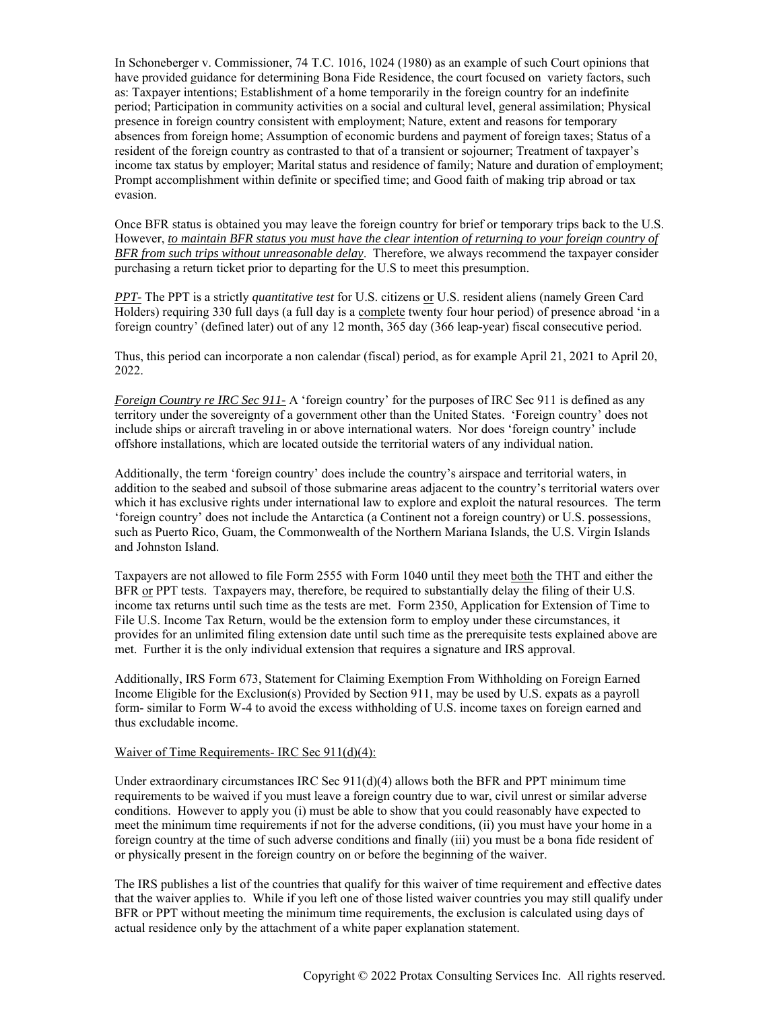In Schoneberger v. Commissioner, 74 T.C. 1016, 1024 (1980) as an example of such Court opinions that have provided guidance for determining Bona Fide Residence, the court focused on variety factors, such as: Taxpayer intentions; Establishment of a home temporarily in the foreign country for an indefinite period; Participation in community activities on a social and cultural level, general assimilation; Physical presence in foreign country consistent with employment; Nature, extent and reasons for temporary absences from foreign home; Assumption of economic burdens and payment of foreign taxes; Status of a resident of the foreign country as contrasted to that of a transient or sojourner; Treatment of taxpayer's income tax status by employer; Marital status and residence of family; Nature and duration of employment; Prompt accomplishment within definite or specified time; and Good faith of making trip abroad or tax evasion.

Once BFR status is obtained you may leave the foreign country for brief or temporary trips back to the U.S. However, *to maintain BFR status you must have the clear intention of returning to your foreign country of BFR from such trips without unreasonable delay*. Therefore, we always recommend the taxpayer consider purchasing a return ticket prior to departing for the U.S to meet this presumption.

*PPT-* The PPT is a strictly *quantitative test* for U.S. citizens or U.S. resident aliens (namely Green Card Holders) requiring 330 full days (a full day is a complete twenty four hour period) of presence abroad 'in a foreign country' (defined later) out of any 12 month, 365 day (366 leap-year) fiscal consecutive period.

Thus, this period can incorporate a non calendar (fiscal) period, as for example April 21, 2021 to April 20, 2022.

*Foreign Country re IRC Sec 911-* A 'foreign country' for the purposes of IRC Sec 911 is defined as any territory under the sovereignty of a government other than the United States. 'Foreign country' does not include ships or aircraft traveling in or above international waters. Nor does 'foreign country' include offshore installations, which are located outside the territorial waters of any individual nation.

Additionally, the term 'foreign country' does include the country's airspace and territorial waters, in addition to the seabed and subsoil of those submarine areas adjacent to the country's territorial waters over which it has exclusive rights under international law to explore and exploit the natural resources. The term 'foreign country' does not include the Antarctica (a Continent not a foreign country) or U.S. possessions, such as Puerto Rico, Guam, the Commonwealth of the Northern Mariana Islands, the U.S. Virgin Islands and Johnston Island.

Taxpayers are not allowed to file Form 2555 with Form 1040 until they meet both the THT and either the BFR or PPT tests. Taxpayers may, therefore, be required to substantially delay the filing of their U.S. income tax returns until such time as the tests are met. Form 2350, Application for Extension of Time to File U.S. Income Tax Return, would be the extension form to employ under these circumstances, it provides for an unlimited filing extension date until such time as the prerequisite tests explained above are met. Further it is the only individual extension that requires a signature and IRS approval.

Additionally, IRS Form 673, Statement for Claiming Exemption From Withholding on Foreign Earned Income Eligible for the Exclusion(s) Provided by Section 911, may be used by U.S. expats as a payroll form- similar to Form W-4 to avoid the excess withholding of U.S. income taxes on foreign earned and thus excludable income.

#### Waiver of Time Requirements- IRC Sec 911(d)(4):

Under extraordinary circumstances IRC Sec  $911(d)(4)$  allows both the BFR and PPT minimum time requirements to be waived if you must leave a foreign country due to war, civil unrest or similar adverse conditions. However to apply you (i) must be able to show that you could reasonably have expected to meet the minimum time requirements if not for the adverse conditions, (ii) you must have your home in a foreign country at the time of such adverse conditions and finally (iii) you must be a bona fide resident of or physically present in the foreign country on or before the beginning of the waiver.

The IRS publishes a list of the countries that qualify for this waiver of time requirement and effective dates that the waiver applies to. While if you left one of those listed waiver countries you may still qualify under BFR or PPT without meeting the minimum time requirements, the exclusion is calculated using days of actual residence only by the attachment of a white paper explanation statement.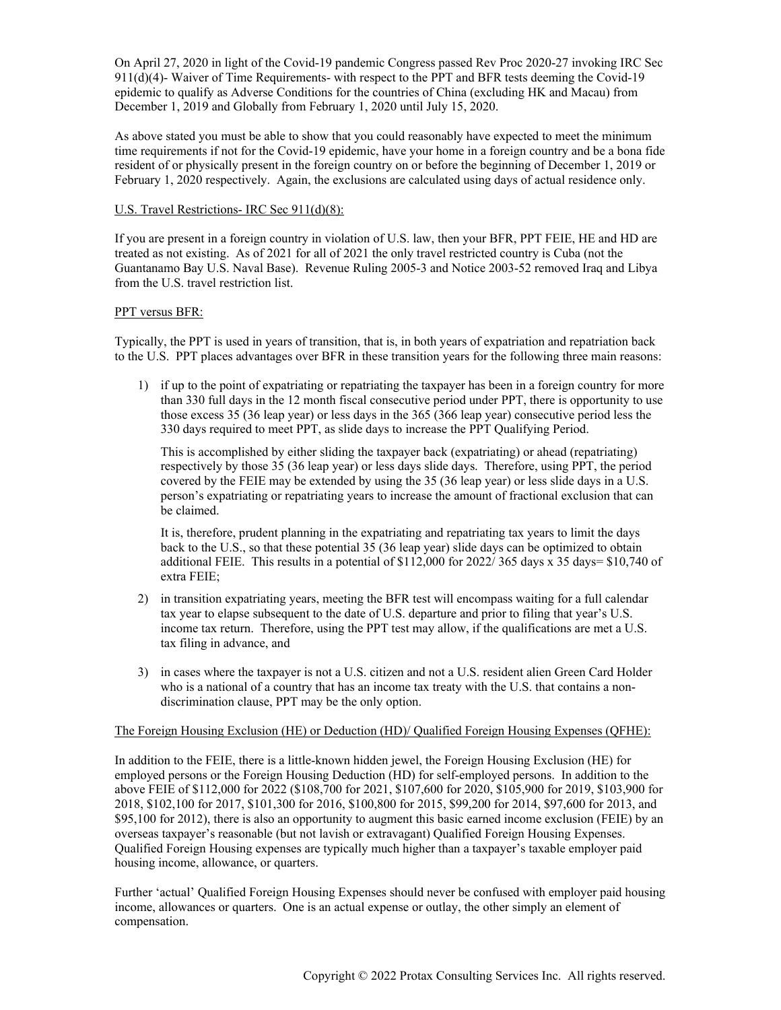On April 27, 2020 in light of the Covid-19 pandemic Congress passed Rev Proc 2020-27 invoking IRC Sec 911(d)(4)- Waiver of Time Requirements- with respect to the PPT and BFR tests deeming the Covid-19 epidemic to qualify as Adverse Conditions for the countries of China (excluding HK and Macau) from December 1, 2019 and Globally from February 1, 2020 until July 15, 2020.

As above stated you must be able to show that you could reasonably have expected to meet the minimum time requirements if not for the Covid-19 epidemic, have your home in a foreign country and be a bona fide resident of or physically present in the foreign country on or before the beginning of December 1, 2019 or February 1, 2020 respectively. Again, the exclusions are calculated using days of actual residence only.

## U.S. Travel Restrictions- IRC Sec 911(d)(8):

If you are present in a foreign country in violation of U.S. law, then your BFR, PPT FEIE, HE and HD are treated as not existing. As of 2021 for all of 2021 the only travel restricted country is Cuba (not the Guantanamo Bay U.S. Naval Base). Revenue Ruling 2005-3 and Notice 2003-52 removed Iraq and Libya from the U.S. travel restriction list.

## PPT versus BFR:

Typically, the PPT is used in years of transition, that is, in both years of expatriation and repatriation back to the U.S. PPT places advantages over BFR in these transition years for the following three main reasons:

1) if up to the point of expatriating or repatriating the taxpayer has been in a foreign country for more than 330 full days in the 12 month fiscal consecutive period under PPT, there is opportunity to use those excess 35 (36 leap year) or less days in the 365 (366 leap year) consecutive period less the 330 days required to meet PPT, as slide days to increase the PPT Qualifying Period.

This is accomplished by either sliding the taxpayer back (expatriating) or ahead (repatriating) respectively by those 35 (36 leap year) or less days slide days. Therefore, using PPT, the period covered by the FEIE may be extended by using the 35 (36 leap year) or less slide days in a U.S. person's expatriating or repatriating years to increase the amount of fractional exclusion that can be claimed.

It is, therefore, prudent planning in the expatriating and repatriating tax years to limit the days back to the U.S., so that these potential 35 (36 leap year) slide days can be optimized to obtain additional FEIE. This results in a potential of \$112,000 for 2022/ 365 days x 35 days= \$10,740 of extra FEIE;

- 2) in transition expatriating years, meeting the BFR test will encompass waiting for a full calendar tax year to elapse subsequent to the date of U.S. departure and prior to filing that year's U.S. income tax return. Therefore, using the PPT test may allow, if the qualifications are met a U.S. tax filing in advance, and
- 3) in cases where the taxpayer is not a U.S. citizen and not a U.S. resident alien Green Card Holder who is a national of a country that has an income tax treaty with the U.S. that contains a nondiscrimination clause, PPT may be the only option.

### The Foreign Housing Exclusion (HE) or Deduction (HD)/ Qualified Foreign Housing Expenses (QFHE):

In addition to the FEIE, there is a little-known hidden jewel, the Foreign Housing Exclusion (HE) for employed persons or the Foreign Housing Deduction (HD) for self-employed persons. In addition to the above FEIE of \$112,000 for 2022 (\$108,700 for 2021, \$107,600 for 2020, \$105,900 for 2019, \$103,900 for 2018, \$102,100 for 2017, \$101,300 for 2016, \$100,800 for 2015, \$99,200 for 2014, \$97,600 for 2013, and \$95,100 for 2012), there is also an opportunity to augment this basic earned income exclusion (FEIE) by an overseas taxpayer's reasonable (but not lavish or extravagant) Qualified Foreign Housing Expenses. Qualified Foreign Housing expenses are typically much higher than a taxpayer's taxable employer paid housing income, allowance, or quarters.

Further 'actual' Qualified Foreign Housing Expenses should never be confused with employer paid housing income, allowances or quarters. One is an actual expense or outlay, the other simply an element of compensation.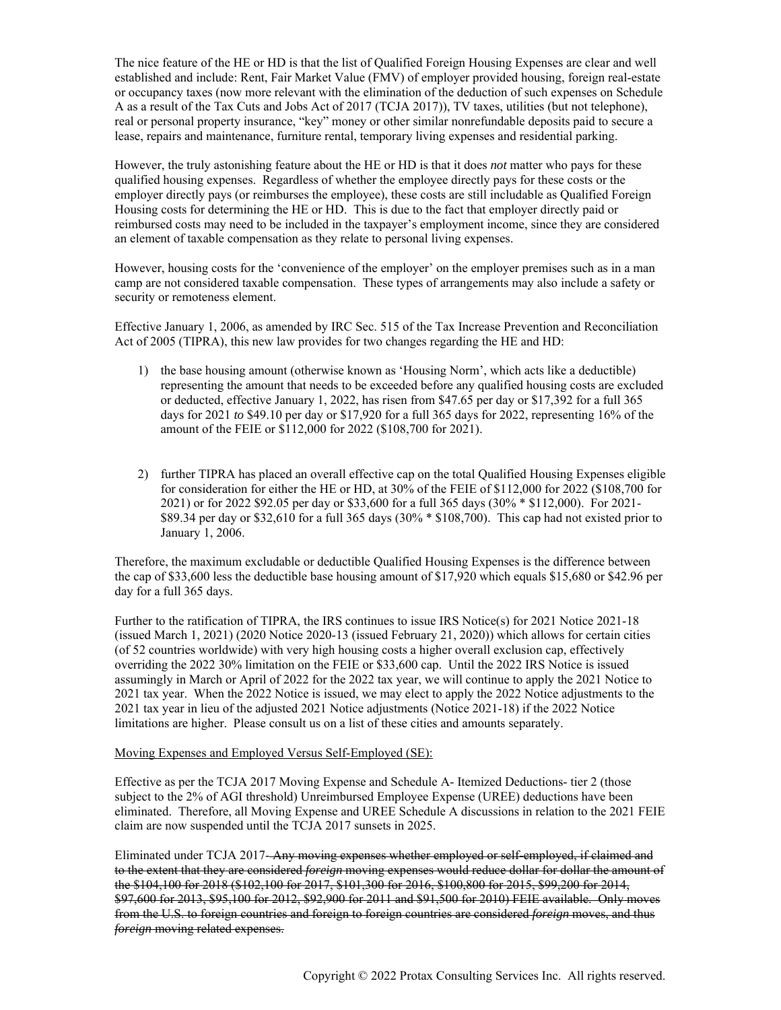The nice feature of the HE or HD is that the list of Qualified Foreign Housing Expenses are clear and well established and include: Rent, Fair Market Value (FMV) of employer provided housing, foreign real-estate or occupancy taxes (now more relevant with the elimination of the deduction of such expenses on Schedule A as a result of the Tax Cuts and Jobs Act of 2017 (TCJA 2017)), TV taxes, utilities (but not telephone), real or personal property insurance, "key" money or other similar nonrefundable deposits paid to secure a lease, repairs and maintenance, furniture rental, temporary living expenses and residential parking.

However, the truly astonishing feature about the HE or HD is that it does *not* matter who pays for these qualified housing expenses. Regardless of whether the employee directly pays for these costs or the employer directly pays (or reimburses the employee), these costs are still includable as Qualified Foreign Housing costs for determining the HE or HD. This is due to the fact that employer directly paid or reimbursed costs may need to be included in the taxpayer's employment income, since they are considered an element of taxable compensation as they relate to personal living expenses.

However, housing costs for the 'convenience of the employer' on the employer premises such as in a man camp are not considered taxable compensation. These types of arrangements may also include a safety or security or remoteness element.

Effective January 1, 2006, as amended by IRC Sec. 515 of the Tax Increase Prevention and Reconciliation Act of 2005 (TIPRA), this new law provides for two changes regarding the HE and HD:

- 1) the base housing amount (otherwise known as 'Housing Norm', which acts like a deductible) representing the amount that needs to be exceeded before any qualified housing costs are excluded or deducted, effective January 1, 2022, has risen from \$47.65 per day or \$17,392 for a full 365 days for 2021 *to* \$49.10 per day or \$17,920 for a full 365 days for 2022, representing 16% of the amount of the FEIE or \$112,000 for 2022 (\$108,700 for 2021).
- 2) further TIPRA has placed an overall effective cap on the total Qualified Housing Expenses eligible for consideration for either the HE or HD, at 30% of the FEIE of \$112,000 for 2022 (\$108,700 for 2021) or for 2022 \$92.05 per day or \$33,600 for a full 365 days (30% \* \$112,000). For 2021- \$89.34 per day or \$32,610 for a full 365 days (30% \* \$108,700). This cap had not existed prior to January 1, 2006.

Therefore, the maximum excludable or deductible Qualified Housing Expenses is the difference between the cap of \$33,600 less the deductible base housing amount of \$17,920 which equals \$15,680 or \$42.96 per day for a full 365 days.

Further to the ratification of TIPRA, the IRS continues to issue IRS Notice(s) for 2021 Notice 2021-18 (issued March 1, 2021) (2020 Notice 2020-13 (issued February 21, 2020)) which allows for certain cities (of 52 countries worldwide) with very high housing costs a higher overall exclusion cap, effectively overriding the 2022 30% limitation on the FEIE or \$33,600 cap. Until the 2022 IRS Notice is issued assumingly in March or April of 2022 for the 2022 tax year, we will continue to apply the 2021 Notice to 2021 tax year. When the 2022 Notice is issued, we may elect to apply the 2022 Notice adjustments to the 2021 tax year in lieu of the adjusted 2021 Notice adjustments (Notice 2021-18) if the 2022 Notice limitations are higher. Please consult us on a list of these cities and amounts separately.

## Moving Expenses and Employed Versus Self-Employed (SE):

Effective as per the TCJA 2017 Moving Expense and Schedule A- Itemized Deductions- tier 2 (those subject to the 2% of AGI threshold) Unreimbursed Employee Expense (UREE) deductions have been eliminated. Therefore, all Moving Expense and UREE Schedule A discussions in relation to the 2021 FEIE claim are now suspended until the TCJA 2017 sunsets in 2025.

Eliminated under TCJA 2017-Any moving expenses whether employed or self-employed, if claimed and to the extent that they are considered *foreign* moving expenses would reduce dollar for dollar the amount of the \$104,100 for 2018 (\$102,100 for 2017, \$101,300 for 2016, \$100,800 for 2015, \$99,200 for 2014, \$97,600 for 2013, \$95,100 for 2012, \$92,900 for 2011 and \$91,500 for 2010) FEIE available. Only moves from the U.S. to foreign countries and foreign to foreign countries are considered *foreign* moves, and thus *foreign* moving related expenses.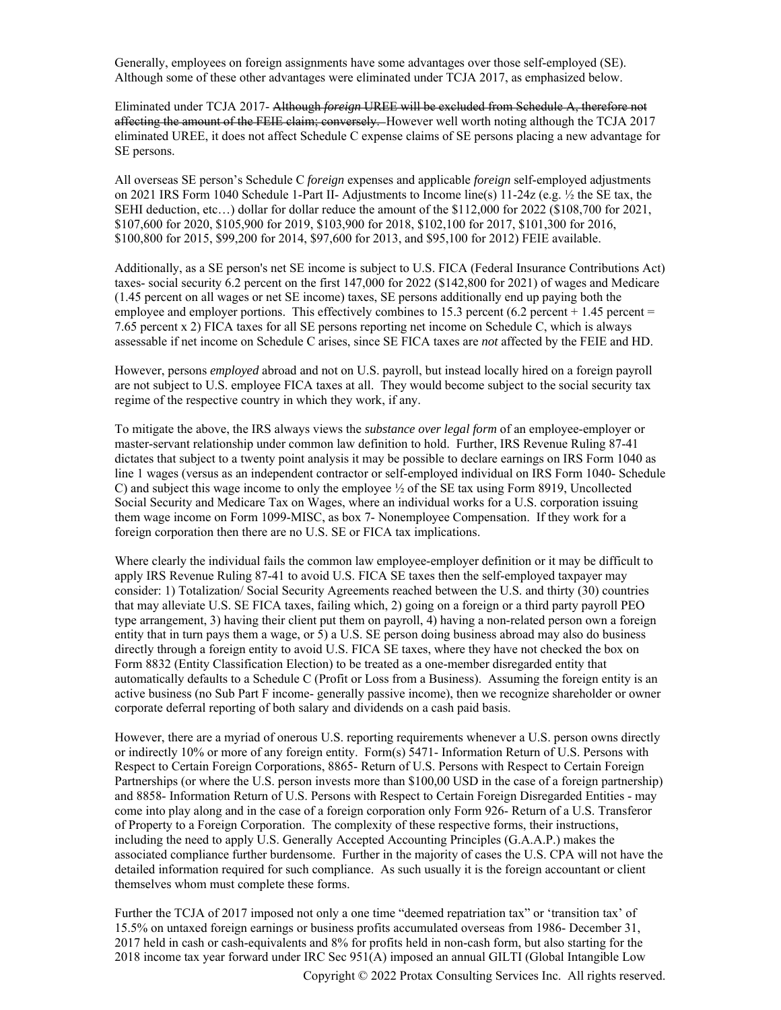Generally, employees on foreign assignments have some advantages over those self-employed (SE). Although some of these other advantages were eliminated under TCJA 2017, as emphasized below.

Eliminated under TCJA 2017- Although *foreign* UREE will be excluded from Schedule A, therefore not affecting the amount of the FEIE claim; conversely. However well worth noting although the TCJA 2017 eliminated UREE, it does not affect Schedule C expense claims of SE persons placing a new advantage for SE persons.

All overseas SE person's Schedule C *foreign* expenses and applicable *foreign* self-employed adjustments on 2021 IRS Form 1040 Schedule 1-Part II- Adjustments to Income line(s) 11-24z (e.g. ½ the SE tax, the SEHI deduction, etc…) dollar for dollar reduce the amount of the \$112,000 for 2022 (\$108,700 for 2021, \$107,600 for 2020, \$105,900 for 2019, \$103,900 for 2018, \$102,100 for 2017, \$101,300 for 2016, \$100,800 for 2015, \$99,200 for 2014, \$97,600 for 2013, and \$95,100 for 2012) FEIE available.

Additionally, as a SE person's net SE income is subject to U.S. FICA (Federal Insurance Contributions Act) taxes- social security 6.2 percent on the first 147,000 for 2022 (\$142,800 for 2021) of wages and Medicare (1.45 percent on all wages or net SE income) taxes, SE persons additionally end up paying both the employee and employer portions. This effectively combines to 15.3 percent  $(6.2 \text{ percent} + 1.45 \text{ percent})$ 7.65 percent x 2) FICA taxes for all SE persons reporting net income on Schedule C, which is always assessable if net income on Schedule C arises, since SE FICA taxes are *not* affected by the FEIE and HD.

However, persons *employed* abroad and not on U.S. payroll, but instead locally hired on a foreign payroll are not subject to U.S. employee FICA taxes at all. They would become subject to the social security tax regime of the respective country in which they work, if any.

To mitigate the above, the IRS always views the *substance over legal form* of an employee-employer or master-servant relationship under common law definition to hold. Further, IRS Revenue Ruling 87-41 dictates that subject to a twenty point analysis it may be possible to declare earnings on IRS Form 1040 as line 1 wages (versus as an independent contractor or self-employed individual on IRS Form 1040- Schedule C) and subject this wage income to only the employee ½ of the SE tax using Form 8919, Uncollected Social Security and Medicare Tax on Wages, where an individual works for a U.S. corporation issuing them wage income on Form 1099-MISC, as box 7- Nonemployee Compensation. If they work for a foreign corporation then there are no U.S. SE or FICA tax implications.

Where clearly the individual fails the common law employee-employer definition or it may be difficult to apply IRS Revenue Ruling 87-41 to avoid U.S. FICA SE taxes then the self-employed taxpayer may consider: 1) Totalization/ Social Security Agreements reached between the U.S. and thirty (30) countries that may alleviate U.S. SE FICA taxes, failing which, 2) going on a foreign or a third party payroll PEO type arrangement, 3) having their client put them on payroll, 4) having a non-related person own a foreign entity that in turn pays them a wage, or 5) a U.S. SE person doing business abroad may also do business directly through a foreign entity to avoid U.S. FICA SE taxes, where they have not checked the box on Form 8832 (Entity Classification Election) to be treated as a one-member disregarded entity that automatically defaults to a Schedule C (Profit or Loss from a Business). Assuming the foreign entity is an active business (no Sub Part F income- generally passive income), then we recognize shareholder or owner corporate deferral reporting of both salary and dividends on a cash paid basis.

However, there are a myriad of onerous U.S. reporting requirements whenever a U.S. person owns directly or indirectly 10% or more of any foreign entity. Form(s) 5471- Information Return of U.S. Persons with Respect to Certain Foreign Corporations, 8865- Return of U.S. Persons with Respect to Certain Foreign Partnerships (or where the U.S. person invests more than \$100,00 USD in the case of a foreign partnership) and 8858- Information Return of U.S. Persons with Respect to Certain Foreign Disregarded Entities - may come into play along and in the case of a foreign corporation only Form 926- Return of a U.S. Transferor of Property to a Foreign Corporation. The complexity of these respective forms, their instructions, including the need to apply U.S. Generally Accepted Accounting Principles (G.A.A.P.) makes the associated compliance further burdensome. Further in the majority of cases the U.S. CPA will not have the detailed information required for such compliance. As such usually it is the foreign accountant or client themselves whom must complete these forms.

Copyright © 2022 Protax Consulting Services Inc. All rights reserved. Further the TCJA of 2017 imposed not only a one time "deemed repatriation tax" or 'transition tax' of 15.5% on untaxed foreign earnings or business profits accumulated overseas from 1986- December 31, 2017 held in cash or cash-equivalents and 8% for profits held in non-cash form, but also starting for the 2018 income tax year forward under IRC Sec 951(A) imposed an annual GILTI (Global Intangible Low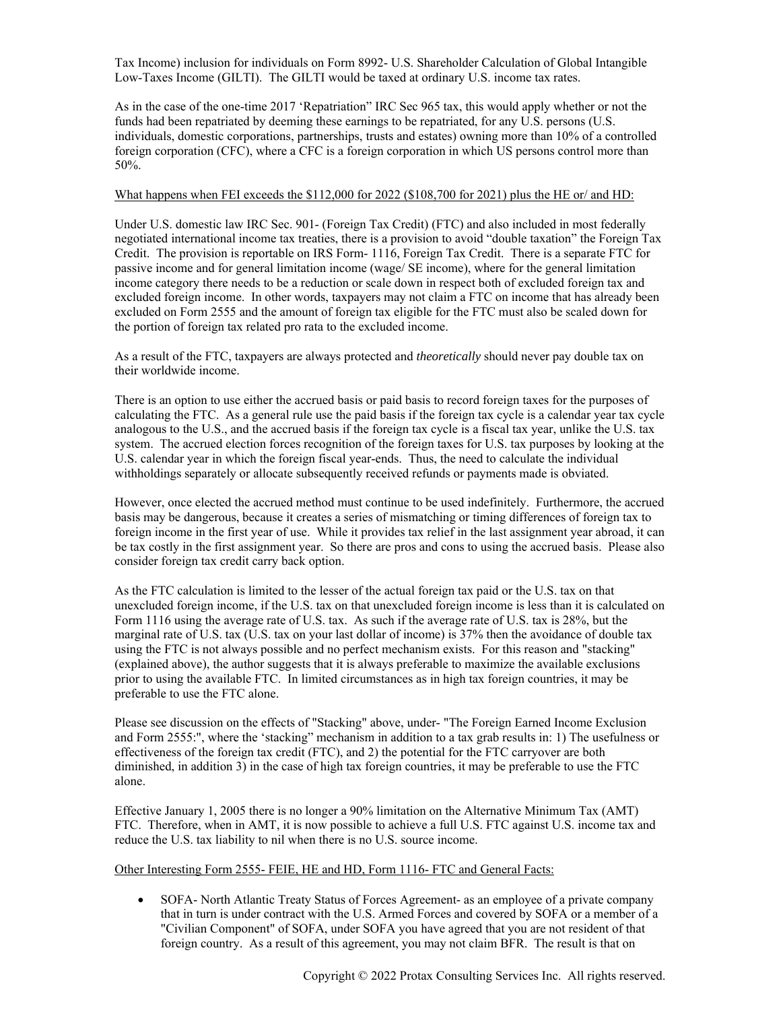Tax Income) inclusion for individuals on Form 8992- U.S. Shareholder Calculation of Global Intangible Low-Taxes Income (GILTI). The GILTI would be taxed at ordinary U.S. income tax rates.

As in the case of the one-time 2017 'Repatriation" IRC Sec 965 tax, this would apply whether or not the funds had been repatriated by deeming these earnings to be repatriated, for any U.S. persons (U.S. individuals, domestic corporations, partnerships, trusts and estates) owning more than 10% of a controlled foreign corporation (CFC), where a CFC is a foreign corporation in which US persons control more than 50%.

### What happens when FEI exceeds the \$112,000 for 2022 (\$108,700 for 2021) plus the HE or/ and HD:

Under U.S. domestic law IRC Sec. 901- (Foreign Tax Credit) (FTC) and also included in most federally negotiated international income tax treaties, there is a provision to avoid "double taxation" the Foreign Tax Credit. The provision is reportable on IRS Form- 1116, Foreign Tax Credit. There is a separate FTC for passive income and for general limitation income (wage/ SE income), where for the general limitation income category there needs to be a reduction or scale down in respect both of excluded foreign tax and excluded foreign income. In other words, taxpayers may not claim a FTC on income that has already been excluded on Form 2555 and the amount of foreign tax eligible for the FTC must also be scaled down for the portion of foreign tax related pro rata to the excluded income.

As a result of the FTC, taxpayers are always protected and *theoretically* should never pay double tax on their worldwide income.

There is an option to use either the accrued basis or paid basis to record foreign taxes for the purposes of calculating the FTC. As a general rule use the paid basis if the foreign tax cycle is a calendar year tax cycle analogous to the U.S., and the accrued basis if the foreign tax cycle is a fiscal tax year, unlike the U.S. tax system. The accrued election forces recognition of the foreign taxes for U.S. tax purposes by looking at the U.S. calendar year in which the foreign fiscal year-ends. Thus, the need to calculate the individual withholdings separately or allocate subsequently received refunds or payments made is obviated.

However, once elected the accrued method must continue to be used indefinitely. Furthermore, the accrued basis may be dangerous, because it creates a series of mismatching or timing differences of foreign tax to foreign income in the first year of use. While it provides tax relief in the last assignment year abroad, it can be tax costly in the first assignment year. So there are pros and cons to using the accrued basis. Please also consider foreign tax credit carry back option.

As the FTC calculation is limited to the lesser of the actual foreign tax paid or the U.S. tax on that unexcluded foreign income, if the U.S. tax on that unexcluded foreign income is less than it is calculated on Form 1116 using the average rate of U.S. tax. As such if the average rate of U.S. tax is 28%, but the marginal rate of U.S. tax (U.S. tax on your last dollar of income) is 37% then the avoidance of double tax using the FTC is not always possible and no perfect mechanism exists. For this reason and "stacking" (explained above), the author suggests that it is always preferable to maximize the available exclusions prior to using the available FTC. In limited circumstances as in high tax foreign countries, it may be preferable to use the FTC alone.

Please see discussion on the effects of "Stacking" above, under- "The Foreign Earned Income Exclusion and Form 2555:", where the 'stacking" mechanism in addition to a tax grab results in: 1) The usefulness or effectiveness of the foreign tax credit (FTC), and 2) the potential for the FTC carryover are both diminished, in addition 3) in the case of high tax foreign countries, it may be preferable to use the FTC alone.

Effective January 1, 2005 there is no longer a 90% limitation on the Alternative Minimum Tax (AMT) FTC. Therefore, when in AMT, it is now possible to achieve a full U.S. FTC against U.S. income tax and reduce the U.S. tax liability to nil when there is no U.S. source income.

## Other Interesting Form 2555- FEIE, HE and HD, Form 1116- FTC and General Facts:

 SOFA- North Atlantic Treaty Status of Forces Agreement- as an employee of a private company that in turn is under contract with the U.S. Armed Forces and covered by SOFA or a member of a "Civilian Component" of SOFA, under SOFA you have agreed that you are not resident of that foreign country. As a result of this agreement, you may not claim BFR. The result is that on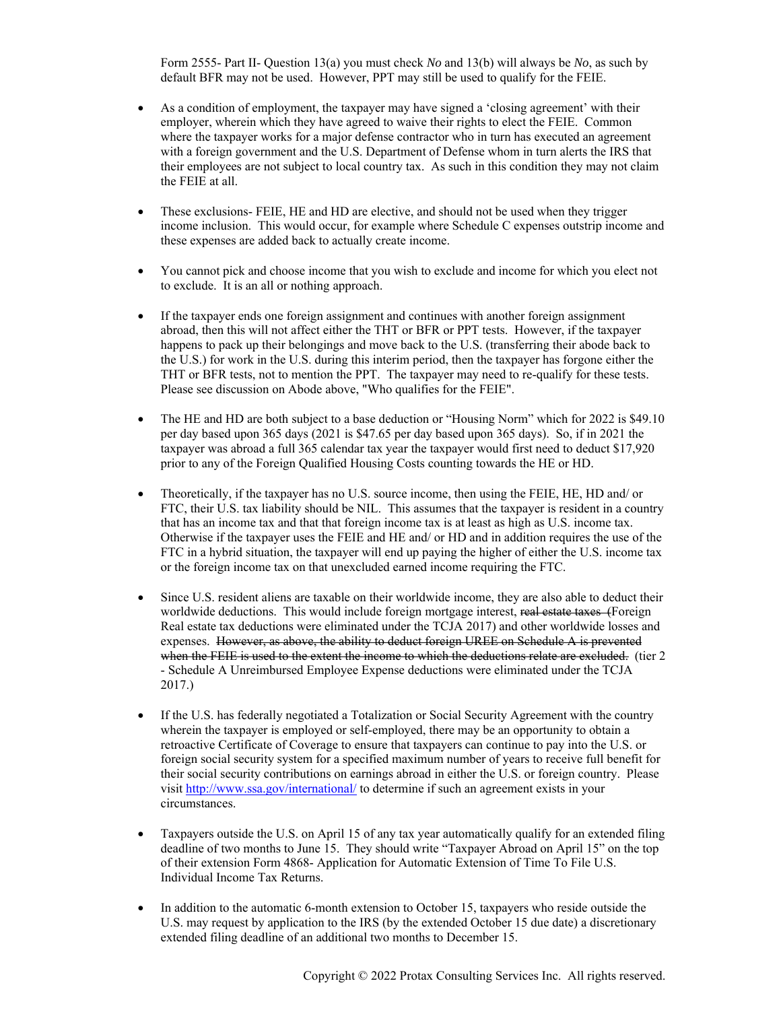Form 2555- Part II- Question 13(a) you must check *No* and 13(b) will always be *No*, as such by default BFR may not be used. However, PPT may still be used to qualify for the FEIE.

- As a condition of employment, the taxpayer may have signed a 'closing agreement' with their employer, wherein which they have agreed to waive their rights to elect the FEIE. Common where the taxpayer works for a major defense contractor who in turn has executed an agreement with a foreign government and the U.S. Department of Defense whom in turn alerts the IRS that their employees are not subject to local country tax. As such in this condition they may not claim the FEIE at all.
- These exclusions- FEIE, HE and HD are elective, and should not be used when they trigger income inclusion. This would occur, for example where Schedule C expenses outstrip income and these expenses are added back to actually create income.
- You cannot pick and choose income that you wish to exclude and income for which you elect not to exclude. It is an all or nothing approach.
- If the taxpayer ends one foreign assignment and continues with another foreign assignment abroad, then this will not affect either the THT or BFR or PPT tests. However, if the taxpayer happens to pack up their belongings and move back to the U.S. (transferring their abode back to the U.S.) for work in the U.S. during this interim period, then the taxpayer has forgone either the THT or BFR tests, not to mention the PPT. The taxpayer may need to re-qualify for these tests. Please see discussion on Abode above, "Who qualifies for the FEIE".
- The HE and HD are both subject to a base deduction or "Housing Norm" which for 2022 is \$49.10 per day based upon 365 days (2021 is \$47.65 per day based upon 365 days). So, if in 2021 the taxpayer was abroad a full 365 calendar tax year the taxpayer would first need to deduct \$17,920 prior to any of the Foreign Qualified Housing Costs counting towards the HE or HD.
- Theoretically, if the taxpayer has no U.S. source income, then using the FEIE, HE, HD and/ or FTC, their U.S. tax liability should be NIL. This assumes that the taxpayer is resident in a country that has an income tax and that that foreign income tax is at least as high as U.S. income tax. Otherwise if the taxpayer uses the FEIE and HE and/ or HD and in addition requires the use of the FTC in a hybrid situation, the taxpayer will end up paying the higher of either the U.S. income tax or the foreign income tax on that unexcluded earned income requiring the FTC.
- Since U.S. resident aliens are taxable on their worldwide income, they are also able to deduct their worldwide deductions. This would include foreign mortgage interest, real estate taxes (Foreign Real estate tax deductions were eliminated under the TCJA 2017) and other worldwide losses and expenses. However, as above, the ability to deduct foreign UREE on Schedule A is prevented when the FEIE is used to the extent the income to which the deductions relate are excluded. (tier 2 - Schedule A Unreimbursed Employee Expense deductions were eliminated under the TCJA 2017.)
- If the U.S. has federally negotiated a Totalization or Social Security Agreement with the country wherein the taxpayer is employed or self-employed, there may be an opportunity to obtain a retroactive Certificate of Coverage to ensure that taxpayers can continue to pay into the U.S. or foreign social security system for a specified maximum number of years to receive full benefit for their social security contributions on earnings abroad in either the U.S. or foreign country. Please visit http://www.ssa.gov/international/ to determine if such an agreement exists in your circumstances.
- Taxpayers outside the U.S. on April 15 of any tax year automatically qualify for an extended filing deadline of two months to June 15. They should write "Taxpayer Abroad on April 15" on the top of their extension Form 4868- Application for Automatic Extension of Time To File U.S. Individual Income Tax Returns.
- In addition to the automatic 6-month extension to October 15, taxpayers who reside outside the U.S. may request by application to the IRS (by the extended October 15 due date) a discretionary extended filing deadline of an additional two months to December 15.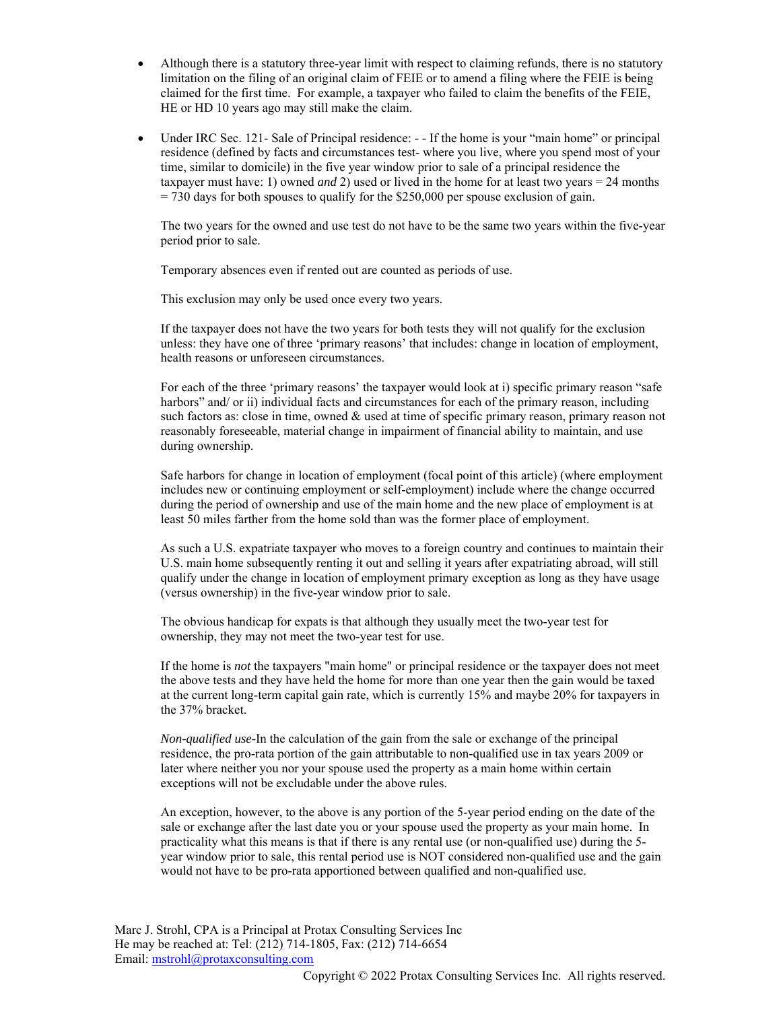- Although there is a statutory three-year limit with respect to claiming refunds, there is no statutory limitation on the filing of an original claim of FEIE or to amend a filing where the FEIE is being claimed for the first time. For example, a taxpayer who failed to claim the benefits of the FEIE, HE or HD 10 years ago may still make the claim.
- Under IRC Sec. 121- Sale of Principal residence: - If the home is your "main home" or principal residence (defined by facts and circumstances test- where you live, where you spend most of your time, similar to domicile) in the five year window prior to sale of a principal residence the taxpayer must have: 1) owned *and* 2) used or lived in the home for at least two years = 24 months  $= 730$  days for both spouses to qualify for the \$250,000 per spouse exclusion of gain.

The two years for the owned and use test do not have to be the same two years within the five-year period prior to sale.

Temporary absences even if rented out are counted as periods of use.

This exclusion may only be used once every two years.

If the taxpayer does not have the two years for both tests they will not qualify for the exclusion unless: they have one of three 'primary reasons' that includes: change in location of employment, health reasons or unforeseen circumstances.

For each of the three 'primary reasons' the taxpayer would look at i) specific primary reason "safe harbors" and/ or ii) individual facts and circumstances for each of the primary reason, including such factors as: close in time, owned & used at time of specific primary reason, primary reason not reasonably foreseeable, material change in impairment of financial ability to maintain, and use during ownership.

Safe harbors for change in location of employment (focal point of this article) (where employment includes new or continuing employment or self-employment) include where the change occurred during the period of ownership and use of the main home and the new place of employment is at least 50 miles farther from the home sold than was the former place of employment.

As such a U.S. expatriate taxpayer who moves to a foreign country and continues to maintain their U.S. main home subsequently renting it out and selling it years after expatriating abroad, will still qualify under the change in location of employment primary exception as long as they have usage (versus ownership) in the five-year window prior to sale.

The obvious handicap for expats is that although they usually meet the two-year test for ownership, they may not meet the two-year test for use.

If the home is *not* the taxpayers "main home" or principal residence or the taxpayer does not meet the above tests and they have held the home for more than one year then the gain would be taxed at the current long-term capital gain rate, which is currently 15% and maybe 20% for taxpayers in the 37% bracket.

*Non-qualified use-*In the calculation of the gain from the sale or exchange of the principal residence, the pro-rata portion of the gain attributable to non-qualified use in tax years 2009 or later where neither you nor your spouse used the property as a main home within certain exceptions will not be excludable under the above rules.

An exception, however, to the above is any portion of the 5-year period ending on the date of the sale or exchange after the last date you or your spouse used the property as your main home. In practicality what this means is that if there is any rental use (or non-qualified use) during the 5 year window prior to sale, this rental period use is NOT considered non-qualified use and the gain would not have to be pro-rata apportioned between qualified and non-qualified use.